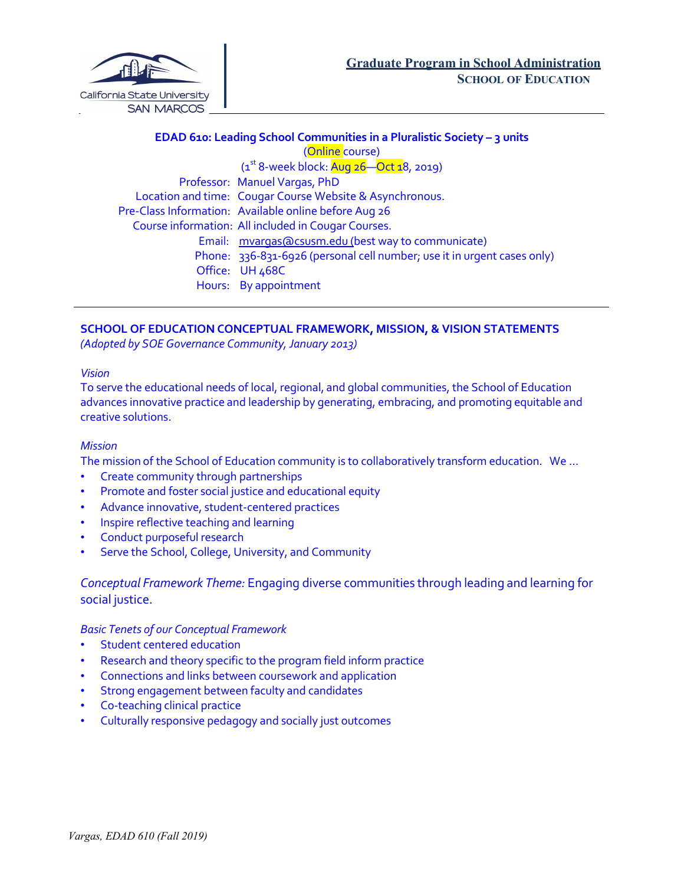

# **EDAD 610: Leading School Communities in a Pluralistic Society – 3 units** (Online course)  $(1<sup>st</sup> 8-week block: Aug 26—Oct 18, 2019)$  Professor: Manuel Vargas, PhD Location and time: Cougar Course Website & Asynchronous. Pre-Class Information: Available online before Aug 26 Course information: All included in Cougar Courses. Email: mvargas@csusm.edu (best way to communicate) Phone: 336-831-6926 (personal cell number; use it in urgent cases only) Office: UH 468C Hours: By appointment

# **SCHOOL OF EDUCATION CONCEPTUAL FRAMEWORK, MISSION, & VISION STATEMENTS**

*(Adopted by SOE Governance Community,January 2013)*

#### *Vision*

To serve the educational needs of local, regional, and global communities, the School of Education advances innovative practice and leadership by generating, embracing, and promoting equitable and creative solutions.

## *Mission*

The mission of the School of Education community is to collaboratively transform education. We …

- Create community through partnerships
- Promote and foster social justice and educational equity
- Advance innovative, student-centered practices
- Inspire reflective teaching and learning
- Conduct purposeful research
- Serve the School, College, University, and Community

*Conceptual Framework Theme:* Engaging diverse communities through leading and learning for social justice.

## *Basic Tenets of our Conceptual Framework*

- Student centered education
- Research and theory specific to the program field inform practice
- Connections and links between coursework and application
- Strong engagement between faculty and candidates
- Co-teaching clinical practice
- Culturally responsive pedagogy and socially just outcomes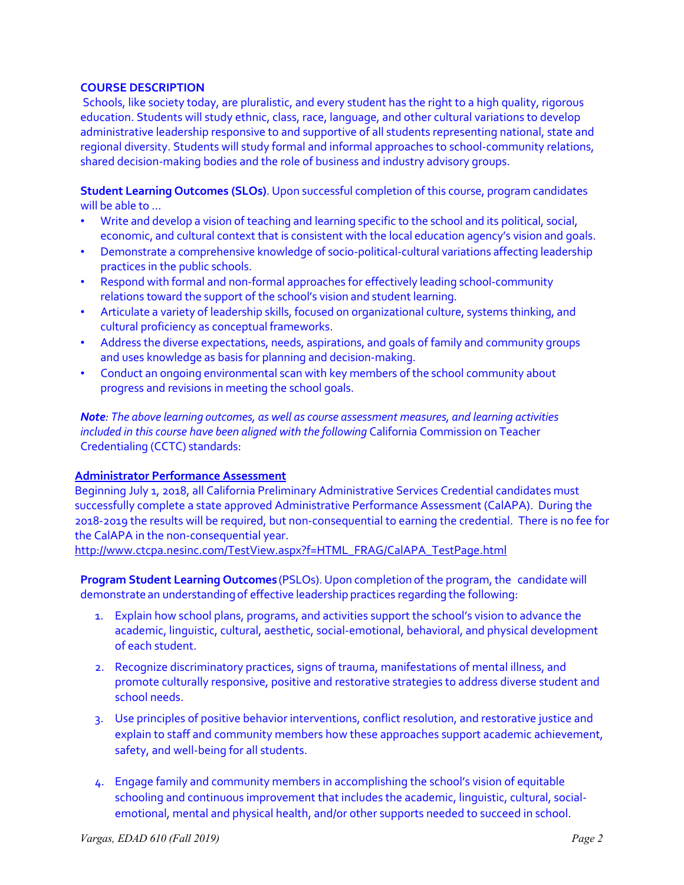## **COURSE DESCRIPTION**

Schools, like society today, are pluralistic, and every student has the right to a high quality, rigorous education. Students will study ethnic, class, race, language, and other cultural variations to develop administrative leadership responsive to and supportive of all students representing national, state and regional diversity. Students will study formal and informal approaches to school-community relations, shared decision-making bodies and the role of business and industry advisory groups.

**Student Learning Outcomes (SLOs)**. Upon successful completion of this course, program candidates will be able to …

- Write and develop a vision of teaching and learning specific to the school and its political, social, economic, and cultural context that is consistent with the local education agency's vision and goals.
- Demonstrate a comprehensive knowledge of socio-political-cultural variations affecting leadership practices in the public schools.
- Respond with formal and non-formal approaches for effectively leading school-community relations toward the support of the school's vision and student learning.
- Articulate a variety of leadership skills, focused on organizational culture, systems thinking, and cultural proficiency as conceptual frameworks.
- Address the diverse expectations, needs, aspirations, and goals of family and community groups and uses knowledge as basis for planning and decision-making.
- Conduct an ongoing environmental scan with key members of the school community about progress and revisions in meeting the school goals.

*Note: The above learning outcomes, as well as course assessment measures, and learning activities included in this course have been aligned with the following* California Commission on Teacher Credentialing (CCTC) standards:

## **Administrator Performance Assessment**

Beginning July 1, 2018, all California Preliminary Administrative Services Credential candidates must successfully complete a state approved Administrative Performance Assessment (CalAPA). During the 2018-2019 the results will be required, but non-consequential to earning the credential. There is no fee for the CalAPA in the non-consequential year.

http://www.ctcpa.nesinc.com/TestView.aspx?f=HTML\_FRAG/CalAPA\_TestPage.html

**Program Student Learning Outcomes** (PSLOs). Upon completion of the program, the candidate will demonstrate an understandingof effective leadership practices regarding the following:

- 1. Explain how school plans, programs, and activities support the school's vision to advance the academic, linguistic, cultural, aesthetic, social-emotional, behavioral, and physical development of each student.
- 2. Recognize discriminatory practices, signs of trauma, manifestations of mental illness, and promote culturally responsive, positive and restorative strategies to address diverse student and school needs.
- 3. Use principles of positive behavior interventions, conflict resolution, and restorative justice and explain to staff and community members how these approaches support academic achievement, safety, and well-being for all students.
- 4. Engage family and community members in accomplishing the school's vision of equitable schooling and continuous improvement that includes the academic, linguistic, cultural, socialemotional, mental and physical health, and/or other supports needed to succeed in school.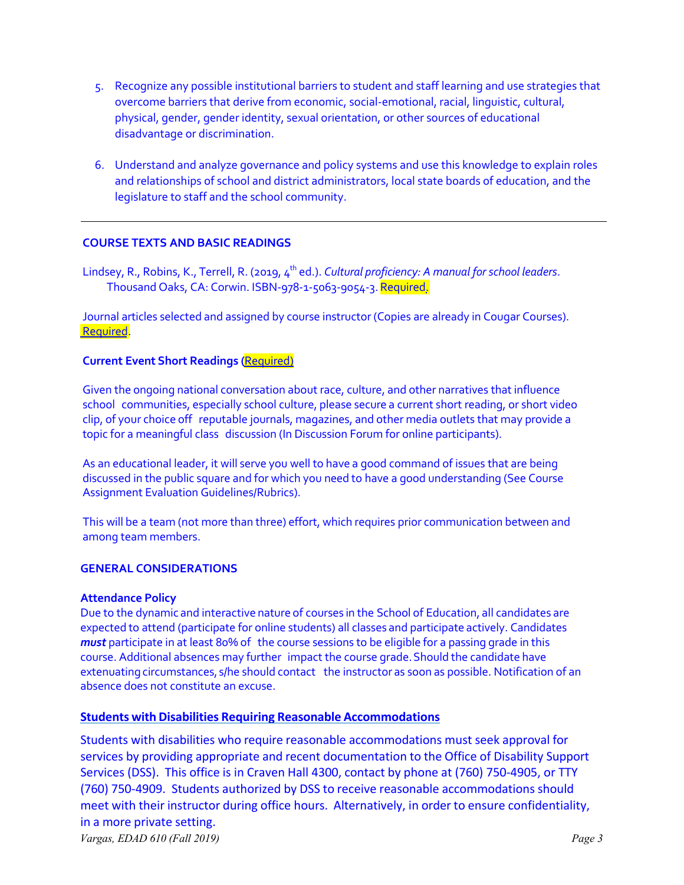- 5. Recognize any possible institutional barriers to student and staff learning and use strategies that overcome barriers that derive from economic, social-emotional, racial, linguistic, cultural, physical, gender, gender identity, sexual orientation, or other sources of educational disadvantage or discrimination.
- 6. Understand and analyze governance and policy systems and use this knowledge to explain roles and relationships of school and district administrators, local state boards of education, and the legislature to staff and the school community.

# **COURSE TEXTS AND BASIC READINGS**

Lindsey, R., Robins, K., Terrell, R. (2019, 4<sup>th</sup> ed.). *Cultural proficiency: A manual for school leaders*. Thousand Oaks, CA: Corwin. ISBN-978-1-5063-9054-3. Required.

Journal articles selected and assigned by course instructor (Copies are already in Cougar Courses). Required.

# **Current Event Short Readings (**Required)

Given the ongoing national conversation about race, culture, and other narratives that influence school communities, especially school culture, please secure a current short reading, or short video clip, of your choice off reputable journals, magazines, and other media outlets that may provide a topic for a meaningful class discussion (In Discussion Forum for online participants).

As an educational leader, it will serve you well to have a good command of issues that are being discussed in the public square and for which you need to have a good understanding (See Course Assignment Evaluation Guidelines/Rubrics).

This will be a team (not more than three) effort, which requires prior communication between and among team members.

## **GENERAL CONSIDERATIONS**

## **Attendance Policy**

Due to the dynamic and interactive nature of courses in the School of Education, all candidates are expected to attend (participate for online students) all classes and participate actively. Candidates *must* participate in at least 80% of the course sessions to be eligible for a passing grade in this course. Additional absences may further impact the course grade.Should the candidate have extenuating circumstances, s/he should contact the instructor as soon as possible. Notification of an absence does not constitute an excuse.

## **Students with Disabilities Requiring Reasonable Accommodations**

Students with disabilities who require reasonable accommodations must seek approval for services by providing appropriate and recent documentation to the Office of Disability Support Services (DSS). This office is in Craven Hall 4300, contact by phone at (760) 750-4905, or TTY (760) 750-4909. Students authorized by DSS to receive reasonable accommodations should meet with their instructor during office hours. Alternatively, in order to ensure confidentiality, in a more private setting.

*Vargas, EDAD 610 (Fall 2019) Page 3*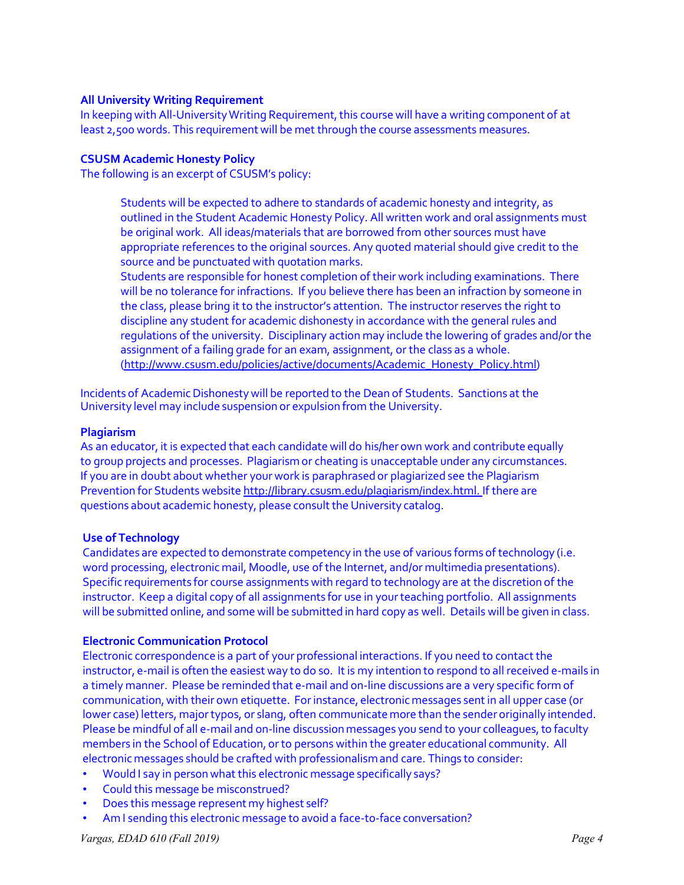## **All University Writing Requirement**

In keeping with All-University Writing Requirement, this course will have a writing component of at least 2,500 words. This requirement will be met through the course assessments measures.

## **CSUSM Academic Honesty Policy**

The following is an excerpt of CSUSM's policy:

Students will be expected to adhere to standards of academic honesty and integrity, as outlined in the Student Academic Honesty Policy. All written work and oral assignments must be original work. All ideas/materials that are borrowed from other sources must have appropriate references to the original sources. Any quoted material should give credit to the source and be punctuated with quotation marks.

Students are responsible for honest completion of their work including examinations. There will be no tolerance for infractions. If you believe there has been an infraction by someone in the class, please bring it to the instructor's attention. The instructor reserves the right to discipline any student for academic dishonesty in accordance with the general rules and regulations of the university. Disciplinary action may include the lowering of grades and/or the assignment of a failing grade for an exam, assignment, or the class as a whole. (http://www.csusm.edu/policies/active/documents/Academic\_Honesty\_Policy.html)

Incidents of Academic Dishonesty will be reported to the Dean of Students. Sanctions at the University level may include suspension or expulsion from the University.

#### **Plagiarism**

As an educator, it is expected that each candidate will do his/her own work and contribute equally to group projects and processes. Plagiarismor cheating is unacceptable under any circumstances. If you are in doubt about whether your work is paraphrasedor plagiarized see the Plagiarism Prevention for Students website http://library.csusm.edu/plagiarism/index.html. If there are questions about academic honesty, please consult the University catalog.

#### **Use of Technology**

Candidates are expected to demonstrate competency in the use of various forms of technology (i.e. word processing, electronic mail, Moodle, use of the Internet, and/or multimedia presentations). Specific requirements for course assignments with regard to technology are at the discretion of the instructor. Keep a digital copy of all assignments for use in yourteaching portfolio. All assignments will be submitted online, and some will be submitted in hard copy as well. Details will be given in class.

#### **Electronic Communication Protocol**

Electronic correspondence is a part of your professional interactions. If you need to contact the instructor, e-mail is often the easiest way to do so. It is my intention to respond to all received e-mails in a timely manner. Please be reminded that e-mail and on-line discussions are a very specific form of communication, with their own etiquette. For instance, electronic messages sent in all upper case (or lower case) letters, majortypos, or slang, often communicate more than the sender originally intended. Please be mindful of all e-mail and on-line discussion messages you send to your colleagues, to faculty members in the School of Education, orto persons within the greater educational community. All electronic messages should be crafted with professionalismand care. Things to consider:

- Would I say in person what this electronic message specifically says?
- Could this message be misconstrued?
- Does this message represent my highest self?
- Am I sending this electronic message to avoid a face-to-face conversation?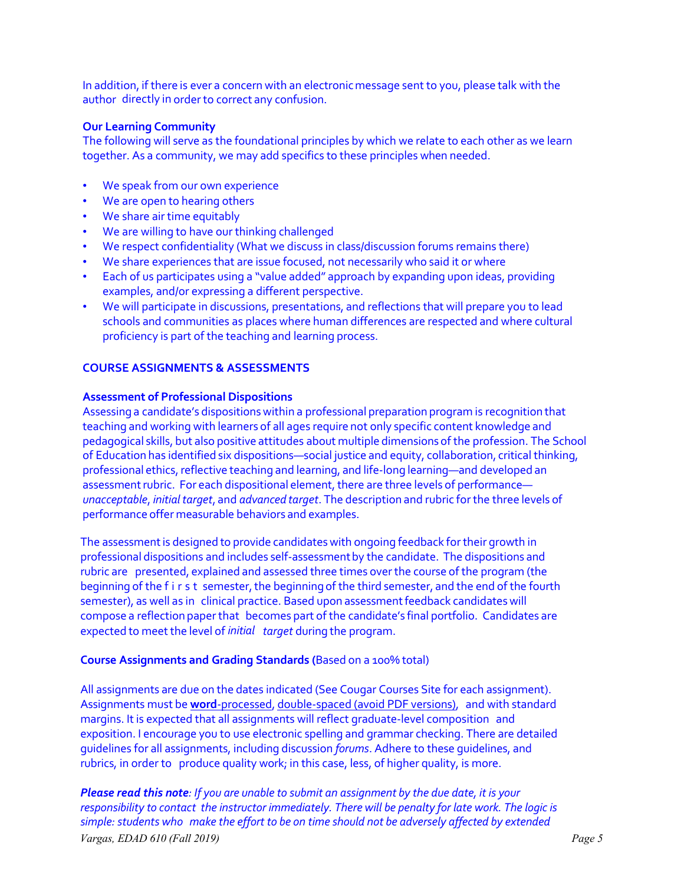In addition, if there is ever a concern with an electronicmessage sent to you, please talk with the author directly in order to correct any confusion.

## **Our Learning Community**

The following will serve as the foundational principles by which we relate to each other as we learn together. As a community, we may add specifics to these principles when needed.

- We speak from our own experience
- We are open to hearing others
- We share air time equitably
- We are willing to have our thinking challenged
- We respect confidentiality (What we discuss in class/discussion forums remains there)
- We share experiences that are issue focused, not necessarily who said it or where
- Each of us participates using a "value added" approach by expanding upon ideas, providing examples, and/or expressing a different perspective.
- We will participate in discussions, presentations, and reflections that will prepare you to lead schools and communities as places where human differences are respected and where cultural proficiency is part of the teaching and learning process.

#### **COURSE ASSIGNMENTS & ASSESSMENTS**

#### **Assessment of Professional Dispositions**

Assessing a candidate's dispositions within a professional preparation program is recognition that teaching and working with learners of all ages require not only specific content knowledge and pedagogical skills, but also positive attitudes about multiple dimensionsof the profession. The School of Education has identified six dispositions—social justice and equity, collaboration, critical thinking, professional ethics, reflective teaching and learning, and life-long learning—and developed an assessment rubric. For each dispositional element, there are three levels of performance *unacceptable*, *initialtarget*, and *advanced target*. The description and rubric forthe three levels of performance offer measurable behaviors and examples.

The assessment is designed to provide candidates with ongoing feedback for their growth in professional dispositions and includes self-assessmentby the candidate. The dispositions and rubric are presented, explained and assessed three times overthe course of the program (the beginning of the first semester, the beginning of the third semester, and the end of the fourth semester), as well as in clinical practice. Based upon assessment feedback candidates will compose a reflection paperthat becomes part of the candidate's final portfolio. Candidates are expected to meet the level of *initial target* during the program.

#### **Course Assignments and Grading Standards (**Based on a 100% total)

All assignments are due on the dates indicated (See Cougar Courses Site for each assignment). Assignments must be **word**-processed, double-spaced (avoid PDF versions), and with standard margins. It is expected that all assignments will reflect graduate-level composition and exposition. I encourage you to use electronic spelling and grammar checking. There are detailed guidelines for all assignments, including discussion *forums*. Adhere to these guidelines, and rubrics, in order to produce quality work; in this case, less, of higher quality, is more.

*Vargas, EDAD 610 (Fall 2019) Page 5 Please read this note: If you are unable to submit an assignment by the due date, it is your responsibility to contact the instructor immediately. There will be penalty for late work. The logic is simple:students who make the effort to be on time should not be adversely affected by extended*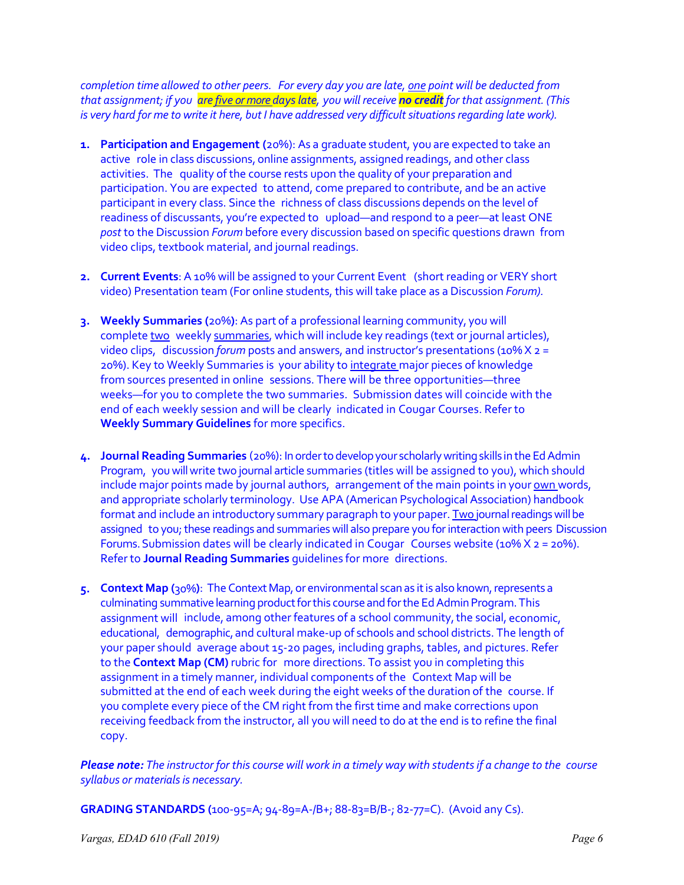*completion time allowed to other peers. For every day you are late, one point will be deducted from that assignment; if you are five or more dayslate, you will receive no creditfor that assignment. (This is very hard for me to write it here, but I have addressed very difficult situations regarding late work).*

- **1. Participation and Engagement (**20%): As a graduate student, you are expected to take an active role in class discussions, online assignments, assigned readings, and other class activities. The quality of the course rests upon the quality of your preparation and participation. You are expected to attend, come prepared to contribute, and be an active participant in every class. Since the richness of class discussions depends on the level of readiness of discussants, you're expected to upload—and respond to a peer—at least ONE *post* to the Discussion *Forum* before every discussion based on specific questions drawn from video clips, textbook material, and journal readings.
- **2. Current Events**: A 10% will be assigned to your Current Event (short reading or VERY short video) Presentation team (For online students, this will take place as a Discussion *Forum).*
- **3. Weekly Summaries (**20%**)**: As part of a professional learning community, you will complete two weekly summaries, which will include key readings (text or journal articles), video clips, discussion *forum* posts and answers, and instructor's presentations (10% X 2 = 20%). Key to Weekly Summaries is your ability to integrate major pieces of knowledge from sources presented in online sessions. There will be three opportunities—three weeks—for you to complete the two summaries. Submission dates will coincide with the end of each weekly session and will be clearly indicated in Cougar Courses. Refer to **Weekly Summary Guidelines** for more specifics.
- **4. Journal Reading Summaries** (20%): Inordertodevelopyour scholarlywritingskills in the EdAdmin Program, youwillwrite two journal article summaries (titles will be assigned to you), which should include major points made by journal authors, arrangement of the main points in your own words, and appropriate scholarly terminology. Use APA (American Psychological Association) handbook format and include an introductory summary paragraph to your paper. Two journal readings will be assigned to you; these readings and summaries will also prepare you for interaction with peers Discussion Forums. Submission dates will be clearly indicated in Cougar Courses website ( $10\%$  X  $2 = 20\%$ ). Refer to **Journal Reading Summaries** guidelines for more directions.
- **5. Context Map (**30%**)**: TheContextMap,or environmental scanas itis also known,represents a culminating summative learning product for this course and for the Ed Admin Program. This assignment will include, among other features of a school community, the social, economic, educational, demographic, and cultural make-up of schools and school districts. The length of your paper should average about 15-20 pages, including graphs, tables, and pictures. Refer to the **Context Map (CM)** rubric for more directions. To assist you in completing this assignment in a timely manner, individual components of the Context Map will be submitted at the end of each week during the eight weeks of the duration of the course. If you complete every piece of the CM right from the first time and make corrections upon receiving feedback from the instructor, all you will need to do at the end is to refine the final copy.

*Please note: The instructor for this course will work in a timely way with studentsif a change to the course syllabus* or *materials is necessary*.

**GRADING STANDARDS (**100-95=A; 94-89=A-/B+; 88-83=B/B-; 82-77=C). (Avoid any Cs).

*Vargas, EDAD 610 (Fall 2019) Page 6*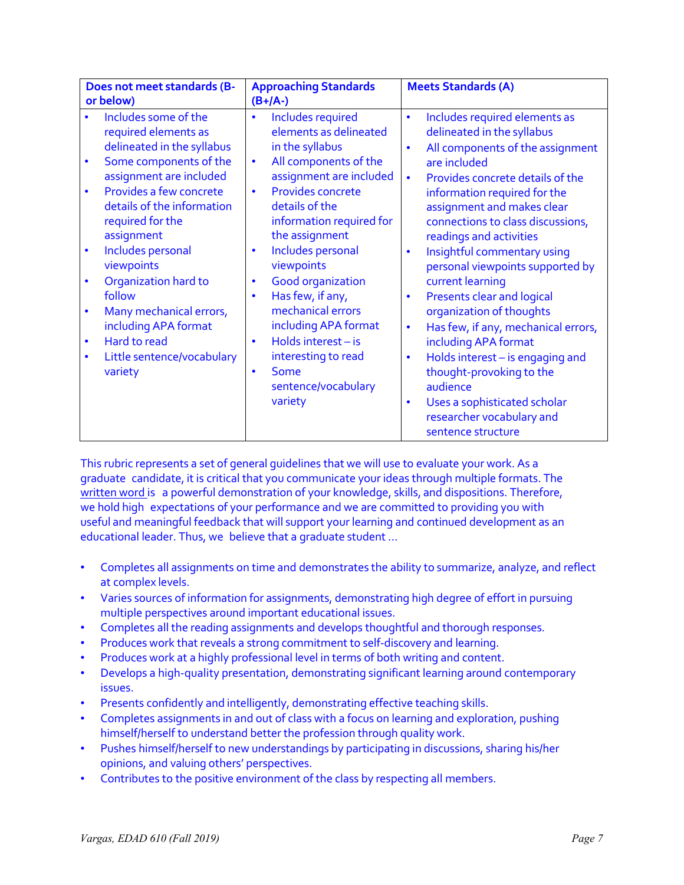| Does not meet standards (B-                                                                                                                                                                                                                                                                                                                                                                                                                                                               | <b>Approaching Standards</b>                                                                                                                                                                                                                                                                                                                                                                                                                                                                                                                         | <b>Meets Standards (A)</b>                                                                                                                                                                                                                                                                                                                                                                                                                                                                                                                                                                                                                                                                                            |
|-------------------------------------------------------------------------------------------------------------------------------------------------------------------------------------------------------------------------------------------------------------------------------------------------------------------------------------------------------------------------------------------------------------------------------------------------------------------------------------------|------------------------------------------------------------------------------------------------------------------------------------------------------------------------------------------------------------------------------------------------------------------------------------------------------------------------------------------------------------------------------------------------------------------------------------------------------------------------------------------------------------------------------------------------------|-----------------------------------------------------------------------------------------------------------------------------------------------------------------------------------------------------------------------------------------------------------------------------------------------------------------------------------------------------------------------------------------------------------------------------------------------------------------------------------------------------------------------------------------------------------------------------------------------------------------------------------------------------------------------------------------------------------------------|
| or below)<br>Includes some of the<br>required elements as<br>delineated in the syllabus<br>Some components of the<br>$\bullet$<br>assignment are included<br>Provides a few concrete<br>$\bullet$<br>details of the information<br>required for the<br>assignment<br>Includes personal<br>$\bullet$<br>viewpoints<br>Organization hard to<br>follow<br>Many mechanical errors,<br>including APA format<br>Hard to read<br>$\bullet$<br>Little sentence/vocabulary<br>$\bullet$<br>variety | $(B+/A-)$<br>Includes required<br>$\bullet$<br>elements as delineated<br>in the syllabus<br>All components of the<br>$\bullet$<br>assignment are included<br>Provides concrete<br>$\bullet$<br>details of the<br>information required for<br>the assignment<br>Includes personal<br>$\bullet$<br>viewpoints<br><b>Good organization</b><br>$\bullet$<br>Has few, if any,<br>$\bullet$<br>mechanical errors<br>including APA format<br>Holds interest - is<br>$\bullet$<br>interesting to read<br>Some<br>$\bullet$<br>sentence/vocabulary<br>variety | Includes required elements as<br>$\bullet$<br>delineated in the syllabus<br>All components of the assignment<br>$\bullet$<br>are included<br>Provides concrete details of the<br>$\bullet$<br>information required for the<br>assignment and makes clear<br>connections to class discussions,<br>readings and activities<br>Insightful commentary using<br>$\bullet$<br>personal viewpoints supported by<br>current learning<br>Presents clear and logical<br>$\bullet$<br>organization of thoughts<br>Has few, if any, mechanical errors,<br>$\bullet$<br>including APA format<br>Holds interest - is engaging and<br>$\bullet$<br>thought-provoking to the<br>audience<br>Uses a sophisticated scholar<br>$\bullet$ |
|                                                                                                                                                                                                                                                                                                                                                                                                                                                                                           |                                                                                                                                                                                                                                                                                                                                                                                                                                                                                                                                                      | researcher vocabulary and<br>sentence structure                                                                                                                                                                                                                                                                                                                                                                                                                                                                                                                                                                                                                                                                       |

This rubric represents a set of general guidelines that we will use to evaluate your work. As a graduate candidate, it is critical that you communicate your ideas through multiple formats. The written word is a powerful demonstration of your knowledge, skills, and dispositions. Therefore, we hold high expectations of your performance and we are committed to providing you with useful and meaningful feedback that will support your learning and continued development as an educational leader. Thus, we believe that a graduate student …

- Completes all assignments on time and demonstrates the ability to summarize, analyze, and reflect at complex levels.
- Varies sources of information for assignments, demonstrating high degree of effort in pursuing multiple perspectives around important educational issues.
- Completes all the reading assignments and develops thoughtful and thorough responses.
- Produces work that reveals a strong commitment to self-discovery and learning.
- Produces work at a highly professional level in terms of both writing and content.
- Develops a high-quality presentation, demonstrating significant learning around contemporary issues.
- Presents confidently and intelligently, demonstrating effective teaching skills.
- Completes assignments in and out of class with a focus on learning and exploration, pushing himself/herself to understand better the profession through quality work.
- Pushes himself/herself to new understandings by participating in discussions, sharing his/her opinions, and valuing others' perspectives.
- Contributes to the positive environment of the class by respecting all members.